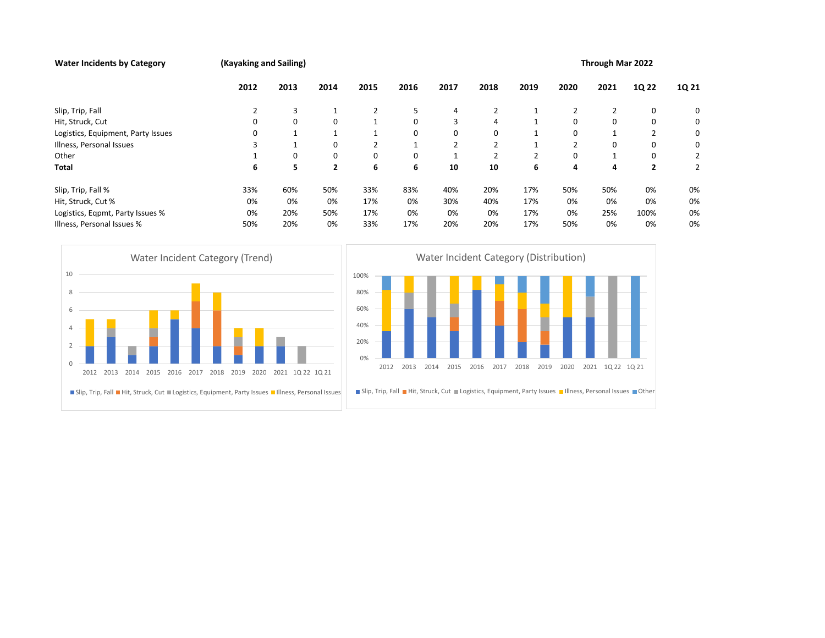## Water Incidents by Category **Exercise 2022** (Kayaking and Sailing) **Through Mar 2022**

|                                                                                                                                                                                                    | 2012                               | 2013         | 2014         | 2015                                   | 2016 | 2017         | 2018                                                                                                                          | 2019         | 2020 | 2021             | 1Q 22          | 1Q 21          |
|----------------------------------------------------------------------------------------------------------------------------------------------------------------------------------------------------|------------------------------------|--------------|--------------|----------------------------------------|------|--------------|-------------------------------------------------------------------------------------------------------------------------------|--------------|------|------------------|----------------|----------------|
| Slip, Trip, Fall                                                                                                                                                                                   | 2                                  | 3            | 1            | $\overline{2}$                         | 5    | 4            | 2                                                                                                                             | 1            | 2    | $\overline{2}$   | 0              | 0              |
| Hit, Struck, Cut                                                                                                                                                                                   | 0                                  | 0            | 0            | $\mathbf{1}$                           | 0    | 3            | 4                                                                                                                             | 1            | 0    | 0                | 0              | 0              |
| Logistics, Equipment, Party Issues                                                                                                                                                                 | 0                                  | 1            | 1            | $\mathbf{1}$                           | 0    | 0            | 0                                                                                                                             | 1            | 0    | $\mathbf{1}$     | $\overline{2}$ | 0              |
| Illness, Personal Issues                                                                                                                                                                           | 3                                  | $\mathbf{1}$ | 0            | $\overline{2}$                         | 1    | 2            | 2                                                                                                                             | 1            | 2    | 0                | 0              | 0              |
| Other                                                                                                                                                                                              | 1                                  | 0            | 0            | $\mathbf 0$                            | 0    | 1            | $\overline{2}$                                                                                                                | 2            | 0    | 1                | 0              | 2              |
| <b>Total</b>                                                                                                                                                                                       | 6                                  | 5            | $\mathbf{2}$ | 6                                      | 6    | 10           | 10                                                                                                                            | 6            | 4    | 4                | $\overline{2}$ | $\overline{2}$ |
| Slip, Trip, Fall %                                                                                                                                                                                 | 33%                                | 60%          | 50%          | 33%                                    | 83%  | 40%          | 20%                                                                                                                           | 17%          | 50%  | 50%              | 0%             | 0%             |
| Hit, Struck, Cut %                                                                                                                                                                                 | 0%                                 | 0%           | 0%           | 17%                                    | 0%   | 30%          | 40%                                                                                                                           | 17%          | 0%   | 0%               | 0%             | 0%             |
| Logistics, Eqpmt, Party Issues %                                                                                                                                                                   | 0%                                 | 20%          | 50%          | 17%                                    | 0%   | 0%           | 0%                                                                                                                            | 17%          | 0%   | 25%              | 100%           | 0%             |
| Illness, Personal Issues %                                                                                                                                                                         | 50%                                | 20%          | 0%           | 33%                                    | 17%  | 20%          | 20%                                                                                                                           | 17%          | 50%  | 0%               | 0%             | 0%             |
| 8<br>6<br>$\overline{4}$<br>$\overline{2}$<br>$\mathbf{0}$<br>2012 2013 2014 2015<br>2016<br>■ Slip, Trip, Fall ■ Hit, Struck, Cut ■ Logistics, Equipment, Party Issues ■ Illness, Personal Issues | 2017 2018 2019 2020 2021 1Q22 1Q21 |              |              | 80%<br>60%<br>40%<br>20%<br>0%<br>2012 | 2013 | 2014<br>2015 | 2016<br>2017<br>■ Slip, Trip, Fall ■ Hit, Struck, Cut ■ Logistics, Equipment, Party Issues ■ Illness, Personal Issues ■ Other | 2018<br>2019 | 2020 | 2021 10 22 10 21 |                |                |
|                                                                                                                                                                                                    |                                    |              |              |                                        |      |              |                                                                                                                               |              |      |                  |                |                |
|                                                                                                                                                                                                    |                                    |              |              |                                        |      |              |                                                                                                                               |              |      |                  |                |                |



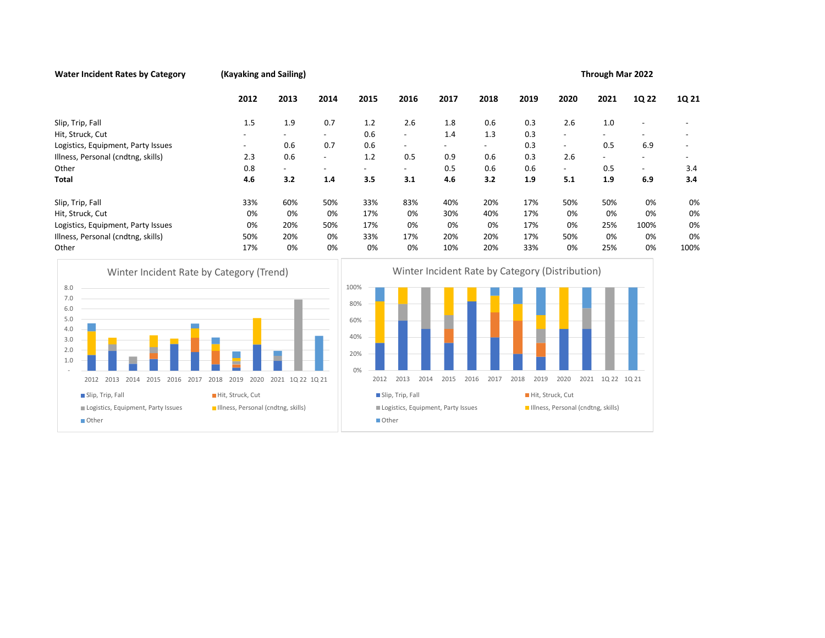## Water Incident Rates by Category (Kayaking and Sailing) **Through Mar 2022**

|                                                                                                                                                                                                                                      | 2012                                                   | 2013                     | 2014                     | 2015                                           | 2016                                                                    |      | 2017                                                            | 2018   | 2019 |                          | 2020                     |                                                        | 2021 | 1Q 22                    | 1Q 21 |
|--------------------------------------------------------------------------------------------------------------------------------------------------------------------------------------------------------------------------------------|--------------------------------------------------------|--------------------------|--------------------------|------------------------------------------------|-------------------------------------------------------------------------|------|-----------------------------------------------------------------|--------|------|--------------------------|--------------------------|--------------------------------------------------------|------|--------------------------|-------|
| Slip, Trip, Fall                                                                                                                                                                                                                     | 1.5                                                    | 1.9                      | 0.7                      | 1.2                                            | 2.6                                                                     |      | 1.8                                                             | 0.6    | 0.3  |                          | 2.6                      |                                                        | 1.0  |                          |       |
| Hit, Struck, Cut                                                                                                                                                                                                                     |                                                        | $\overline{\phantom{0}}$ | $\sim$                   | 0.6                                            | $\overline{\phantom{a}}$                                                |      | 1.4                                                             | 1.3    | 0.3  |                          | $\overline{a}$           | $\blacksquare$                                         |      |                          |       |
| Logistics, Equipment, Party Issues                                                                                                                                                                                                   |                                                        | 0.6                      | 0.7                      | 0.6                                            |                                                                         |      | $\overline{\phantom{0}}$                                        | $\sim$ | 0.3  |                          | $\overline{\phantom{a}}$ |                                                        | 0.5  | 6.9                      |       |
| Illness, Personal (cndtng, skills)                                                                                                                                                                                                   | 2.3                                                    | 0.6                      | $\overline{\phantom{a}}$ | 1.2                                            | 0.5                                                                     |      | 0.9                                                             | 0.6    | 0.3  |                          | 2.6                      |                                                        |      |                          |       |
| Other                                                                                                                                                                                                                                | 0.8                                                    |                          |                          | $\overline{\phantom{a}}$                       |                                                                         |      | 0.5                                                             | 0.6    | 0.6  |                          | $\overline{\phantom{a}}$ |                                                        | 0.5  | $\overline{\phantom{a}}$ | 3.4   |
| <b>Total</b>                                                                                                                                                                                                                         | 4.6                                                    | 3.2                      | 1.4                      | 3.5                                            | 3.1                                                                     |      | 4.6                                                             | 3.2    | 1.9  |                          | 5.1                      |                                                        | 1.9  | 6.9                      | 3.4   |
| Slip, Trip, Fall                                                                                                                                                                                                                     | 33%                                                    | 60%                      | 50%                      | 33%                                            | 83%                                                                     |      | 40%                                                             | 20%    | 17%  |                          | 50%                      |                                                        | 50%  | 0%                       | 0%    |
| Hit, Struck, Cut                                                                                                                                                                                                                     | 0%                                                     | 0%                       | 0%                       | 17%                                            | 0%                                                                      |      | 30%                                                             | 40%    | 17%  |                          | 0%                       |                                                        | 0%   | 0%                       | 0%    |
| Logistics, Equipment, Party Issues                                                                                                                                                                                                   | 0%                                                     | 20%                      | 50%                      | 17%                                            | 0%                                                                      |      | 0%                                                              | 0%     | 17%  |                          | 0%                       |                                                        | 25%  | 100%                     | 0%    |
| Illness, Personal (cndtng, skills)                                                                                                                                                                                                   | 50%                                                    | 20%                      | 0%                       | 33%                                            | 17%                                                                     |      | 20%                                                             | 20%    | 17%  |                          | 50%                      |                                                        | 0%   | 0%                       | 0%    |
| Other                                                                                                                                                                                                                                | 17%                                                    | 0%                       | 0%                       | 0%                                             | 0%                                                                      |      | 10%                                                             | 20%    | 33%  |                          | 0%                       |                                                        | 25%  | 0%                       | 100%  |
| Winter Incident Rate by Category (Trend)<br>8.0<br>7.0<br>6.0<br>5.0<br>4.0<br>3.0<br>2.0<br>1.0<br>2012 2013 2014 2015 2016 2017 2018 2019 2020 2021 1Q 22 1Q 21<br>Slip, Trip, Fall<br>Logistics, Equipment, Party Issues<br>Other | Hit, Struck, Cut<br>Illness, Personal (cndtng, skills) |                          |                          | 100%<br>80%<br>60%<br>40%<br>20%<br>0%<br>2012 | 2013<br>Slip, Trip, Fall<br>Logistics, Equipment, Party Issues<br>Other | 2014 | Winter Incident Rate by Category (Distribution)<br>2015<br>2016 | 2017   | 2018 | 2019<br>Hit, Struck, Cut | 2020                     | 2021 10 22 10 21<br>Illness, Personal (cndtng, skills) |      |                          |       |



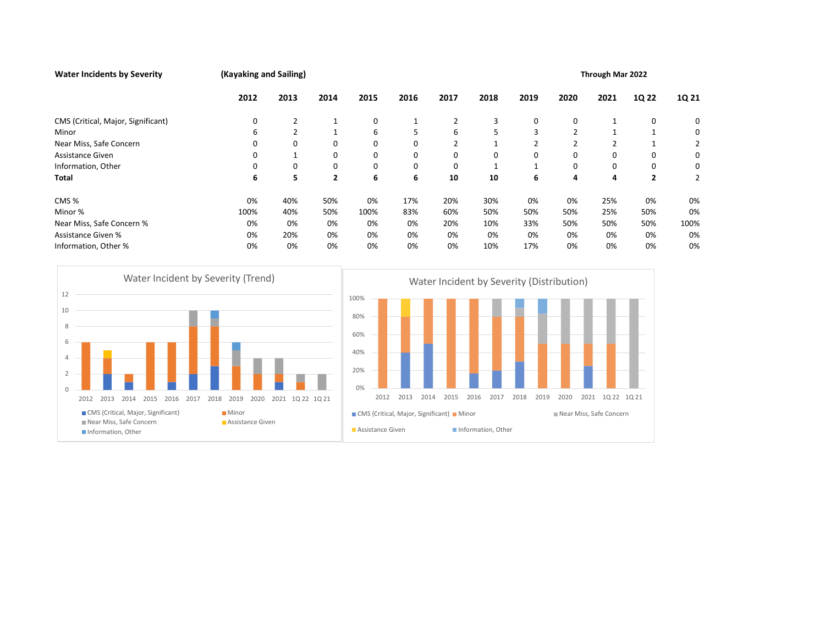| <b>Water Incidents by Severity</b>                                                                                                                                                                                                                  | (Kayaking and Sailing)                                     |                |                |                                                                                                                |              |      |                                                           |                            |      | Through Mar 2022 |                |                                           |                |                |                |  |
|-----------------------------------------------------------------------------------------------------------------------------------------------------------------------------------------------------------------------------------------------------|------------------------------------------------------------|----------------|----------------|----------------------------------------------------------------------------------------------------------------|--------------|------|-----------------------------------------------------------|----------------------------|------|------------------|----------------|-------------------------------------------|----------------|----------------|----------------|--|
|                                                                                                                                                                                                                                                     | 2012                                                       | 2013           | 2014           | 2015                                                                                                           | 2016         |      | 2017                                                      | 2018                       | 2019 |                  | 2020           | 2021                                      |                | 1Q 22          | 1Q 21          |  |
| CMS (Critical, Major, Significant)                                                                                                                                                                                                                  | 0                                                          | 2              | $\mathbf{1}$   | 0                                                                                                              | $\mathbf{1}$ |      | 2                                                         | 3                          |      | 0                | 0              |                                           | $\mathbf{1}$   | 0              | 0              |  |
| Minor                                                                                                                                                                                                                                               | 6                                                          | $\overline{2}$ | $\mathbf{1}$   | 6                                                                                                              | 5            |      | 6                                                         | 5                          |      | 3                | $\overline{2}$ |                                           | $\mathbf{1}$   | $\mathbf{1}$   | 0              |  |
| Near Miss, Safe Concern                                                                                                                                                                                                                             | 0                                                          | $\mathbf 0$    | 0              | 0                                                                                                              | 0            |      | $\overline{2}$                                            | $\mathbf{1}$               |      | $\overline{2}$   | $\overline{2}$ |                                           | $\overline{2}$ | 1              | 2              |  |
| Assistance Given                                                                                                                                                                                                                                    | 0                                                          | $\mathbf{1}$   | 0              | $\mathbf 0$                                                                                                    | 0            |      | 0                                                         | 0                          |      | 0                | 0              |                                           | 0              | 0              | 0              |  |
| Information, Other                                                                                                                                                                                                                                  | 0                                                          | $\mathbf 0$    | 0              | 0                                                                                                              | 0            |      | 0                                                         | 1                          |      | 1                | 0              |                                           | 0              | 0              | 0              |  |
| <b>Total</b>                                                                                                                                                                                                                                        | 6                                                          | 5              | $\overline{2}$ | 6                                                                                                              | 6            |      | 10                                                        | 10                         |      | 6                | 4              |                                           | 4              | $\overline{2}$ | $\overline{2}$ |  |
| CMS%                                                                                                                                                                                                                                                | 0%                                                         | 40%            | 50%            | 0%                                                                                                             | 17%          |      | 20%                                                       | 30%                        |      | 0%               | 0%             |                                           | 25%            | 0%             | 0%             |  |
| Minor %                                                                                                                                                                                                                                             | 100%                                                       | 40%            | 50%            | 100%                                                                                                           | 83%          |      | 60%                                                       | 50%                        | 50%  |                  | 50%            |                                           | 25%            | 50%            | 0%             |  |
| Near Miss, Safe Concern %                                                                                                                                                                                                                           | 0%                                                         | 0%             | 0%             | 0%                                                                                                             | 0%           |      | 20%                                                       | 10%                        | 33%  |                  | 50%            |                                           | 50%            | 50%            | 100%           |  |
| <b>Assistance Given %</b>                                                                                                                                                                                                                           | 0%                                                         | 20%            | 0%             | 0%                                                                                                             | 0%           |      | 0%                                                        | 0%                         |      | 0%               | 0%             |                                           | 0%             | 0%             | 0%             |  |
| Information, Other %                                                                                                                                                                                                                                | 0%                                                         | 0%             | 0%             | 0%                                                                                                             | 0%           |      | 0%                                                        | 10%                        | 17%  |                  | 0%             |                                           | 0%             | 0%             | 0%             |  |
| Water Incident by Severity (Trend)<br>12<br>10<br>8<br>6<br>$\overline{4}$<br>$\overline{2}$<br>$\mathbf{0}$<br>2013<br>2014<br>2015<br>2016<br>2017<br>2012<br>CMS (Critical, Major, Significant)<br>Near Miss, Safe Concern<br>Information, Other | 2018<br>2020<br>2019<br><b>■</b> Minor<br>Assistance Given | 2021 1Q22 1Q21 |                | 100%<br>80%<br>60%<br>40%<br>20%<br>0%<br>2012<br>CMS (Critical, Major, Significant) Minor<br>Assistance Given | 2013         | 2014 | Water Incident by Severity (Distribution)<br>2015<br>2016 | 2017<br>Information, Other | 2018 | 2019             | 2020           | 2021 1Q22 1Q21<br>Near Miss, Safe Concern |                |                |                |  |